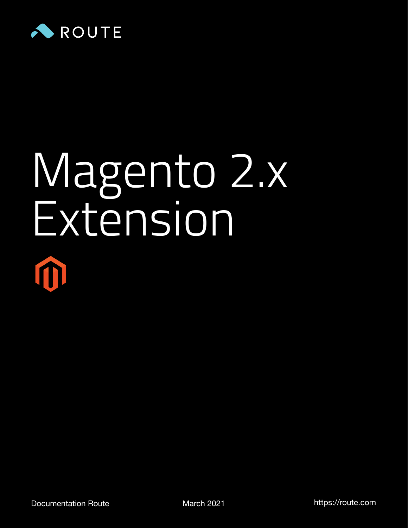

# Magento 2.x Extension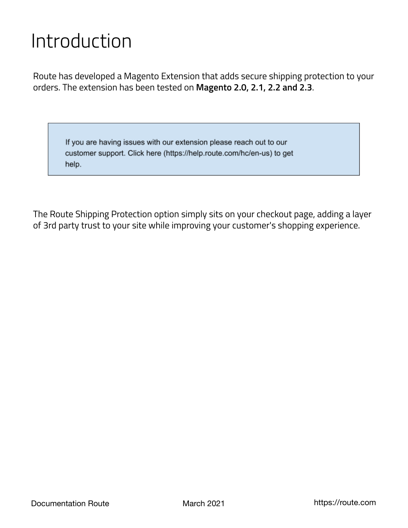## Introduction

Route has developed a Magento Extension that adds secure shipping protection to your orders. The extension has been tested on **Magento 2.0, 2.1, 2.2 and 2.3**.

If you are having issues with our extension please reach out to our customer support. Click here (https://help.route.com/hc/en-us) to get help.

The Route Shipping Protection option simply sits on your checkout page, adding a layer of 3rd party trust to your site while improving your customer's shopping experience.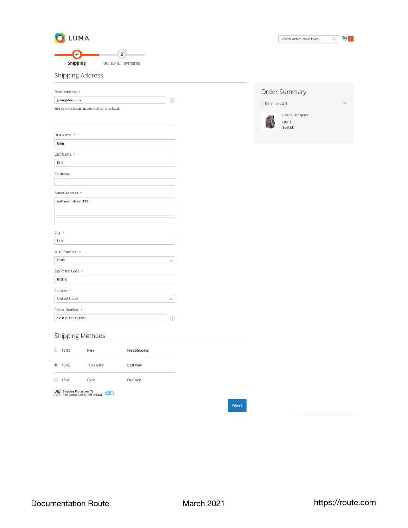

 $\left( 2\right)$ Ø Shipping Review & Payments

| Search entire store here |  |  |
|--------------------------|--|--|
|--------------------------|--|--|

Shipping Address

| Email Address *                           |              |
|-------------------------------------------|--------------|
| john@doe.com                              | 7            |
| You can create an account after checkout. |              |
|                                           |              |
|                                           |              |
| First Name *                              |              |
| John                                      |              |
| Last Name *                               |              |
| Doe                                       |              |
| Company                                   |              |
|                                           |              |
| Street Address *                          |              |
| unknown street 123                        |              |
|                                           |              |
|                                           |              |
| City *                                    |              |
| Lehi                                      |              |
| State/Province *                          |              |
| Utah                                      | $\checkmark$ |
| Zip/Postal Code *                         |              |
| 84043                                     |              |
| Country *                                 |              |
| <b>United States</b>                      | $\checkmark$ |
| Phone Number *                            |              |
| 123123123123123                           | ?            |

|                | Order Summary                               |  |
|----------------|---------------------------------------------|--|
| 1 Item in Cart |                                             |  |
|                | <b>Fusion Backpack</b><br>Qty: 1<br>\$59.00 |  |

#### Shipping Methods

| \$0.00                                                                                                 | Free              | Free Shipping    |  |  |  |  |  |
|--------------------------------------------------------------------------------------------------------|-------------------|------------------|--|--|--|--|--|
| \$0.00                                                                                                 | <b>Table Rate</b> | Best Way         |  |  |  |  |  |
| \$5.00                                                                                                 | Fixed             | <b>Flat Rate</b> |  |  |  |  |  |
| <b>Shipping Protection @</b><br>from Damage, Loss & Theft for \$0.98<br>$_{\text{source}}$<br>$On$ $O$ |                   |                  |  |  |  |  |  |

Next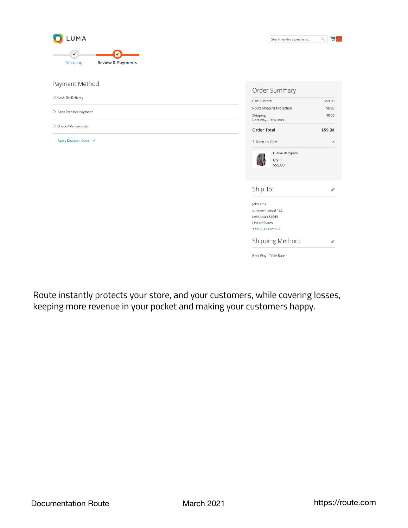

Payment Method

O Cash On Delivery

O Bank Transfer Payment

 $\bigcirc$  Check / Money order

Apply Discount Code  $\;\;\vee\;$ 

| Cart Subtotal                        | \$59.00       |
|--------------------------------------|---------------|
| Route Shipping Protection            | \$0.98        |
| Shipping<br>Best Way - Table Rate    | \$0.00        |
| <b>Order Total</b>                   | \$59.98       |
| 1 Item in Cart                       | ᄉ             |
| Fusion Backpack<br>Qty: 1<br>\$59.00 |               |
| Ship To:                             | P             |
| John Doe                             |               |
| unknown street 123                   |               |
| Lehi, Utah 84043                     |               |
| <b>United States</b>                 |               |
| 123123123123123                      |               |
| Shipping Method:                     | $\mathcal{I}$ |

Route instantly protects your store, and your customers, while covering losses, keeping more revenue in your pocket and making your customers happy.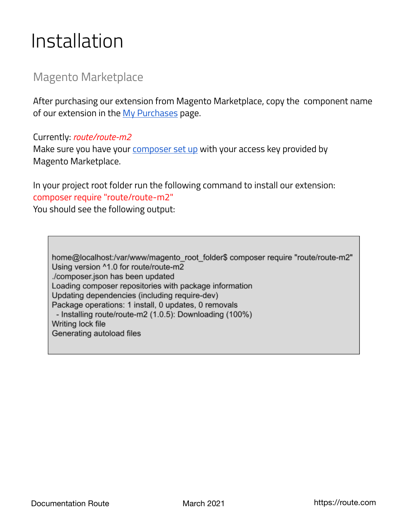## Installation

#### Magento Marketplace

After purchasing our extension from Magento Marketplace, copy the component name of our extension in th[e My Purchases p](https://marketplace.magento.com/downloadable/customer/products/)age.

#### Currently: *route/route-m2*

Make sure you have you[r composer set up w](https://devdocs.magento.com/extensions/install/)ith your access key provided by Magento Marketplace.

In your project root folder run the following command to install our extension: composer require "route/route-m2"

You should see the following output:

home@localhost:/var/www/magento\_root\_folder\$ composer require "route/route-m2" Using version ^1.0 for route/route-m2 ./composer.json has been updated Loading composer repositories with package information Updating dependencies (including require-dev) Package operations: 1 install, 0 updates, 0 removals - Installing route/route-m2 (1.0.5): Downloading (100%) Writing lock file Generating autoload files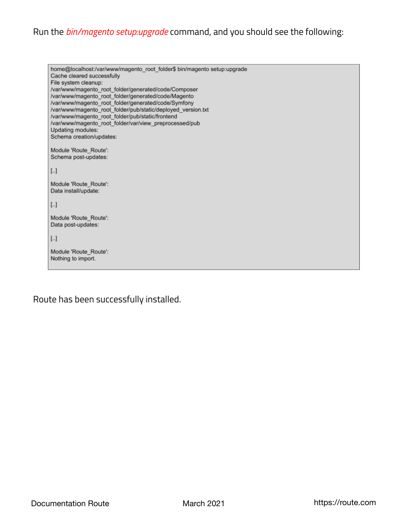#### Run the *bin/magento setup:upgrade* command, and you should see the following:

home@localhost:/var/www/magento\_root\_folder\$ bin/magento setup:upgrade Cache cleared successfully File system cleanup: /var/www/magento\_root\_folder/generated/code/Composer /var/www/magento\_root\_folder/generated/code/Magento /var/www/magento\_root\_folder/generated/code/Symfony /var/www/magento\_root\_folder/pub/static/deployed\_version.txt /var/www/magento\_root\_folder/pub/static/frontend /var/www/magento\_root\_folder/var/view\_preprocessed/pub Updating modules: Schema creation/updates: Module 'Route\_Route': Schema post-updates:  $[...]$ Module 'Route\_Route': Data install/update:  $[...]$ Module 'Route\_Route': Data post-updates:  $[\![\ldots]\!]$ Module 'Route\_Route': Nothing to import.

```
Route has been successfully installed.
```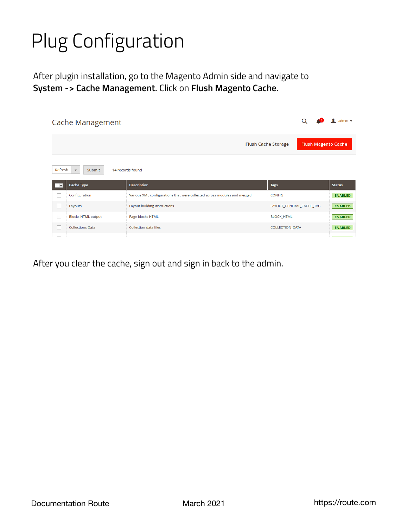## Plug Configuration

After plugin installation, go to the Magento Admin side and navigate to **System -> Cache Management.** Click on **Flush Magento Cache**.

|              | Cache Management                                         |                                                                          | admin $\star$            |                |
|--------------|----------------------------------------------------------|--------------------------------------------------------------------------|--------------------------|----------------|
|              | <b>Flush Cache Storage</b><br><b>Flush Magento Cache</b> |                                                                          |                          |                |
| Refresh      | Submit<br>$\boldsymbol{\mathrm{v}}$                      | 14 records found                                                         |                          |                |
| $\mathbf{r}$ | <b>Cache Type</b>                                        | <b>Description</b>                                                       | <b>Tags</b>              | <b>Status</b>  |
|              | Configuration                                            | Various XML configurations that were collected across modules and merged | <b>CONFIG</b>            | <b>ENABLED</b> |
|              | Layouts                                                  | Layout building instructions                                             | LAYOUT_GENERAL_CACHE_TAG | <b>ENABLED</b> |
| □            | <b>Blocks HTML output</b>                                | Page blocks HTML                                                         | <b>BLOCK HTML</b>        | <b>ENABLED</b> |
| n.           | <b>Collections Data</b>                                  | <b>Collection data files</b>                                             | <b>COLLECTION_DATA</b>   | <b>ENABLED</b> |
|              |                                                          |                                                                          |                          |                |

After you clear the cache, sign out and sign in back to the admin.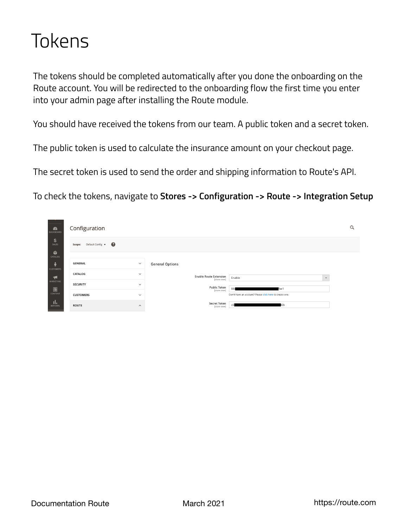## Tokens

The tokens should be completed automatically after you done the onboarding on the Route account. You will be redirected to the onboarding flow the first time you enter into your admin page after installing the Route module.

You should have received the tokens from our team. A public token and a secret token.

The public token is used to calculate the insurance amount on your checkout page.

The secret token is used to send the order and shipping information to Route's API.

To check the tokens, navigate to **Stores -> Configuration -> Route -> Integration Setup**

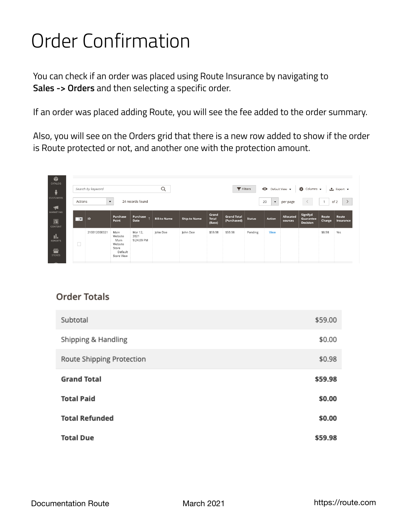## Order Confirmation

You can check if an order was placed using Route Insurance by navigating to **Sales -> Orders** and then selecting a specific order.

If an order was placed adding Route, you will see the fee added to the order summary.

Also, you will see on the Orders grid that there is a new row added to show if the order is Route protected or not, and another one with the protection amount.

|                         | Search by keyword    |                                                                             |                               | Q                   |                     |                                 | $\blacktriangledown$ Filters      |               | $\bullet$                  | Default View v       | $\bullet$ Columns $\bullet$       |                 | ≛ Export ▼            |
|-------------------------|----------------------|-----------------------------------------------------------------------------|-------------------------------|---------------------|---------------------|---------------------------------|-----------------------------------|---------------|----------------------------|----------------------|-----------------------------------|-----------------|-----------------------|
| Actions                 | $\blacktriangledown$ |                                                                             | 24 records found              |                     |                     |                                 |                                   |               | 20<br>$\blacktriangledown$ | per page             |                                   | $\overline{1}$  | $\rightarrow$<br>of 2 |
| $\overline{\mathbf{r}}$ | ID                   | Purchase<br>Point                                                           | Purchase<br>Date              | <b>Bill-to Name</b> | <b>Ship-to Name</b> | Grand<br><b>Total</b><br>(Base) | <b>Grand Total</b><br>(Purchased) | <b>Status</b> | <b>Action</b>              | Allocated<br>sources | Signifyd<br>Guarantee<br>Decision | Route<br>Charge | Route<br>Insurance    |
|                         | 210312000021         | Main<br>Website<br>Main<br>Website<br>Store<br>Default<br><b>Store View</b> | Mar 12,<br>2021<br>9:24:09 PM | John Doe            | John Doe            | \$59.98                         | \$59.98                           | Pending       | View                       |                      |                                   | \$0.98          | Yes                   |

#### **Order Totals**

| Subtotal                  | \$59.00 |
|---------------------------|---------|
| Shipping & Handling       | \$0.00  |
| Route Shipping Protection | \$0.98  |
| <b>Grand Total</b>        | \$59.98 |
| <b>Total Paid</b>         | \$0.00  |
| <b>Total Refunded</b>     | \$0.00  |
| <b>Total Due</b>          | \$59.98 |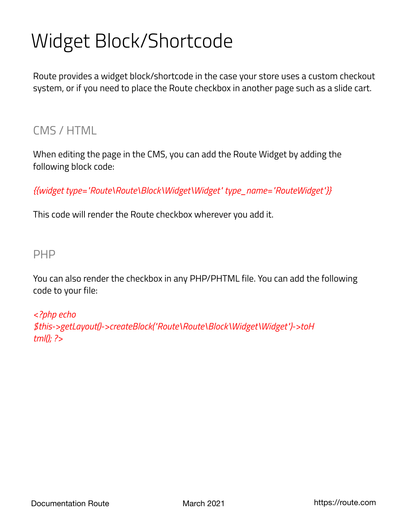## Widget Block/Shortcode

Route provides a widget block/shortcode in the case your store uses a custom checkout system, or if you need to place the Route checkbox in another page such as a slide cart.

### CMS / HTML

When editing the page in the CMS, you can add the Route Widget by adding the following block code:

*{{widget type="Route\Route\Block\Widget\Widget" type\_name="RouteWidget"}}*

This code will render the Route checkbox wherever you add it.

#### PHP

You can also render the checkbox in any PHP/PHTML file. You can add the following code to your file:

*<?php echo \$this->getLayout()->createBlock("Route\Route\Block\Widget\Widget")->toH tml(); ?>*